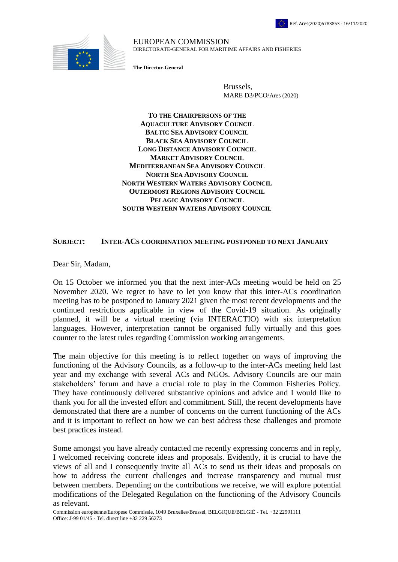

EUROPEAN COMMISSION DIRECTORATE-GENERAL FOR MARITIME AFFAIRS AND FISHERIES

**The Director-General**

Brussels, MARE D3/PCO/Ares (2020)

**TO THE CHAIRPERSONS OF THE AQUACULTURE ADVISORY COUNCIL BALTIC SEA ADVISORY COUNCIL BLACK SEA ADVISORY COUNCIL LONG DISTANCE ADVISORY COUNCIL MARKET ADVISORY COUNCIL MEDITERRANEAN SEA ADVISORY COUNCIL NORTH SEA ADVISORY COUNCIL NORTH WESTERN WATERS ADVISORY COUNCIL OUTERMOST REGIONS ADVISORY COUNCIL PELAGIC ADVISORY COUNCIL SOUTH WESTERN WATERS ADVISORY COUNCIL**

## **SUBJECT: INTER-ACS COORDINATION MEETING POSTPONED TO NEXT JANUARY**

Dear Sir, Madam,

On 15 October we informed you that the next inter-ACs meeting would be held on 25 November 2020. We regret to have to let you know that this inter-ACs coordination meeting has to be postponed to January 2021 given the most recent developments and the continued restrictions applicable in view of the Covid-19 situation. As originally planned, it will be a virtual meeting (via INTERACTIO) with six interpretation languages. However, interpretation cannot be organised fully virtually and this goes counter to the latest rules regarding Commission working arrangements.

The main objective for this meeting is to reflect together on ways of improving the functioning of the Advisory Councils, as a follow-up to the inter-ACs meeting held last year and my exchange with several ACs and NGOs. Advisory Councils are our main stakeholders' forum and have a crucial role to play in the Common Fisheries Policy. They have continuously delivered substantive opinions and advice and I would like to thank you for all the invested effort and commitment. Still, the recent developments have demonstrated that there are a number of concerns on the current functioning of the ACs and it is important to reflect on how we can best address these challenges and promote best practices instead.

Some amongst you have already contacted me recently expressing concerns and in reply, I welcomed receiving concrete ideas and proposals. Evidently, it is crucial to have the views of all and I consequently invite all ACs to send us their ideas and proposals on how to address the current challenges and increase transparency and mutual trust between members. Depending on the contributions we receive, we will explore potential modifications of the Delegated Regulation on the functioning of the Advisory Councils as relevant.